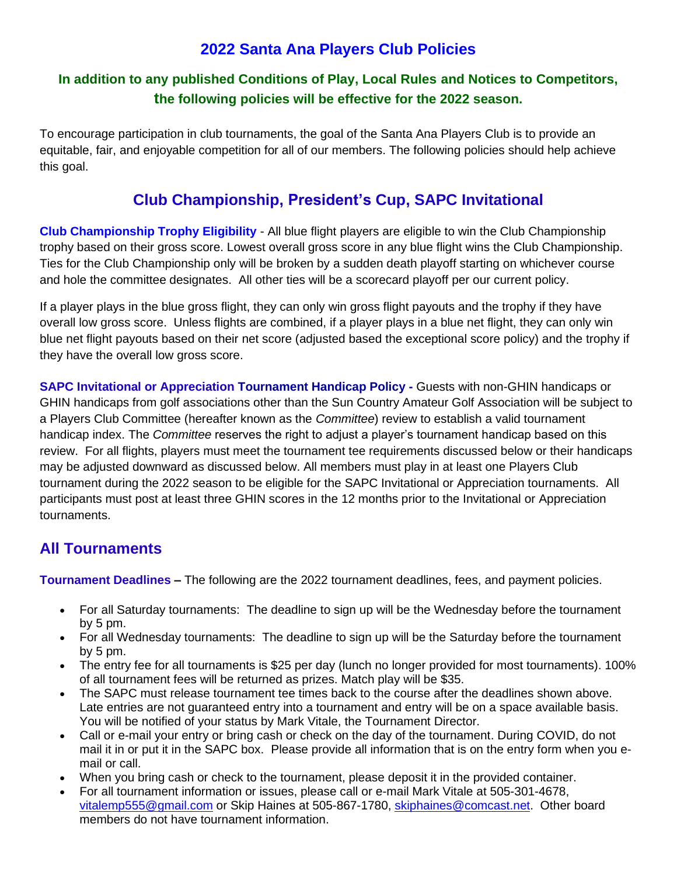# **2022 Santa Ana Players Club Policies**

### **In addition to any published Conditions of Play, Local Rules and Notices to Competitors, the following policies will be effective for the 2022 season.**

To encourage participation in club tournaments, the goal of the Santa Ana Players Club is to provide an equitable, fair, and enjoyable competition for all of our members. The following policies should help achieve this goal.

# **Club Championship, President's Cup, SAPC Invitational**

**Club Championship Trophy Eligibility** - All blue flight players are eligible to win the Club Championship trophy based on their gross score. Lowest overall gross score in any blue flight wins the Club Championship. Ties for the Club Championship only will be broken by a sudden death playoff starting on whichever course and hole the committee designates. All other ties will be a scorecard playoff per our current policy.

If a player plays in the blue gross flight, they can only win gross flight payouts and the trophy if they have overall low gross score. Unless flights are combined, if a player plays in a blue net flight, they can only win blue net flight payouts based on their net score (adjusted based the exceptional score policy) and the trophy if they have the overall low gross score.

**SAPC Invitational or Appreciation Tournament Handicap Policy -** Guests with non-GHIN handicaps or GHIN handicaps from golf associations other than the Sun Country Amateur Golf Association will be subject to a Players Club Committee (hereafter known as the *Committee*) review to establish a valid tournament handicap index. The *Committee* reserves the right to adjust a player's tournament handicap based on this review.For all flights, players must meet the tournament tee requirements discussed below or their handicaps may be adjusted downward as discussed below. All members must play in at least one Players Club tournament during the 2022 season to be eligible for the SAPC Invitational or Appreciation tournaments. All participants must post at least three GHIN scores in the 12 months prior to the Invitational or Appreciation tournaments.

## **All Tournaments**

**Tournament Deadlines –** The following are the 2022 tournament deadlines, fees, and payment policies.

- For all Saturday tournaments: The deadline to sign up will be the Wednesday before the tournament by 5 pm.
- For all Wednesday tournaments: The deadline to sign up will be the Saturday before the tournament by 5 pm.
- The entry fee for all tournaments is \$25 per day (lunch no longer provided for most tournaments). 100% of all tournament fees will be returned as prizes. Match play will be \$35.
- The SAPC must release tournament tee times back to the course after the deadlines shown above. Late entries are not guaranteed entry into a tournament and entry will be on a space available basis. You will be notified of your status by Mark Vitale, the Tournament Director.
- Call or e-mail your entry or bring cash or check on the day of the tournament. During COVID, do not mail it in or put it in the SAPC box. Please provide all information that is on the entry form when you email or call.
- When you bring cash or check to the tournament, please deposit it in the provided container.
- For all tournament information or issues, please call or e-mail Mark Vitale at 505-301-4678, [vitalemp555@gmail.com](mailto:vitalemp555@gmail.com) or Skip Haines at 505-867-1780, [skiphaines@comcast.net.](skiphaines@comcast.net) Other board members do not have tournament information.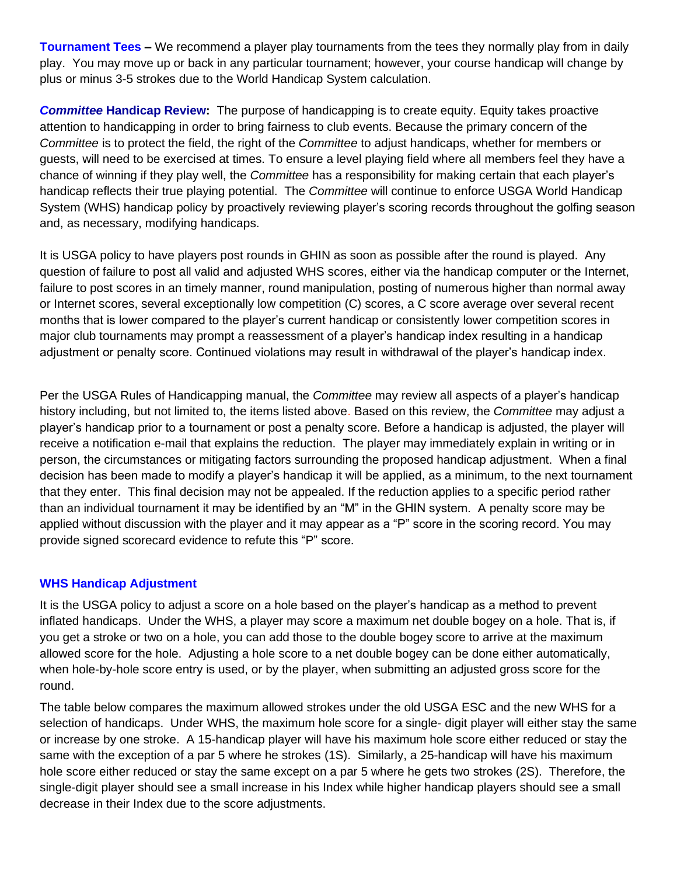**Tournament Tees –** We recommend a player play tournaments from the tees they normally play from in daily play. You may move up or back in any particular tournament; however, your course handicap will change by plus or minus 3-5 strokes due to the World Handicap System calculation.

*Committee* **Handicap Review:** The purpose of handicapping is to create equity. Equity takes proactive attention to handicapping in order to bring fairness to club events. Because the primary concern of the *Committee* is to protect the field, the right of the *Committee* to adjust handicaps, whether for members or guests, will need to be exercised at times. To ensure a level playing field where all members feel they have a chance of winning if they play well, the *Committee* has a responsibility for making certain that each player's handicap reflects their true playing potential. The *Committee* will continue to enforce USGA World Handicap System (WHS) handicap policy by proactively reviewing player's scoring records throughout the golfing season and, as necessary, modifying handicaps.

It is USGA policy to have players post rounds in GHIN as soon as possible after the round is played. Any question of failure to post all valid and adjusted WHS scores, either via the handicap computer or the Internet, failure to post scores in an timely manner, round manipulation, posting of numerous higher than normal away or Internet scores, several exceptionally low competition (C) scores, a C score average over several recent months that is lower compared to the player's current handicap or consistently lower competition scores in major club tournaments may prompt a reassessment of a player's handicap index resulting in a handicap adjustment or penalty score. Continued violations may result in withdrawal of the player's handicap index.

Per the USGA Rules of Handicapping manual, the *Committee* may review all aspects of a player's handicap history including, but not limited to, the items listed above. Based on this review, the *Committee* may adjust a player's handicap prior to a tournament or post a penalty score. Before a handicap is adjusted, the player will receive a notification e-mail that explains the reduction. The player may immediately explain in writing or in person, the circumstances or mitigating factors surrounding the proposed handicap adjustment. When a final decision has been made to modify a player's handicap it will be applied, as a minimum, to the next tournament that they enter. This final decision may not be appealed. If the reduction applies to a specific period rather than an individual tournament it may be identified by an "M" in the GHIN system. A penalty score may be applied without discussion with the player and it may appear as a "P" score in the scoring record. You may provide signed scorecard evidence to refute this "P" score.

#### **WHS Handicap Adjustment**

It is the USGA policy to adjust a score on a hole based on the player's handicap as a method to prevent inflated handicaps. Under the WHS, a player may score a maximum net double bogey on a hole. That is, if you get a stroke or two on a hole, you can add those to the double bogey score to arrive at the maximum allowed score for the hole. Adjusting a hole score to a net double bogey can be done either automatically, when hole-by-hole score entry is used, or by the player, when submitting an adjusted gross score for the round.

The table below compares the maximum allowed strokes under the old USGA ESC and the new WHS for a selection of handicaps. Under WHS, the maximum hole score for a single- digit player will either stay the same or increase by one stroke. A 15-handicap player will have his maximum hole score either reduced or stay the same with the exception of a par 5 where he strokes (1S). Similarly, a 25-handicap will have his maximum hole score either reduced or stay the same except on a par 5 where he gets two strokes (2S). Therefore, the single-digit player should see a small increase in his Index while higher handicap players should see a small decrease in their Index due to the score adjustments.